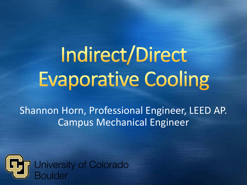Indirect/Direct **Evaporative Cooling** 

Shannon Horn, Professional Engineer, LEED AP. Campus Mechanical Engineer

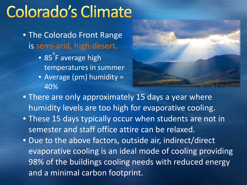### **Colorado's Climate**

- The Colorado Front Range is semi-arid, high-desert.
	- 85 o F average high temperatures in summer
	- Average (pm) humidity = 40%



- There are only approximately 15 days a year where humidity levels are too high for evaporative cooling.
- These 15 days typically occur when students are not in semester and staff office attire can be relaxed.
- Due to the above factors, outside air, indirect/direct evaporative cooling is an ideal mode of cooling providing 98% of the buildings cooling needs with reduced energy and a minimal carbon footprint.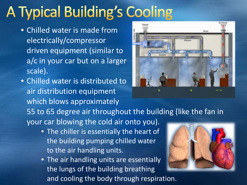## **A Typical Building's Cooling**

- Chilled water is made from electrically/compressor driven equipment (similar to a/c in your car but on a larger scale).
- Chilled water is distributed to air distribution equipment which blows approximately



55 to 65 degree air throughout the building (like the fan in your car blowing the cold air onto you).

- The chiller is essentially the heart of the building pumping chilled water to the air handling units.
- The air handling units are essentially the lungs of the building breathing and cooling the body through respiration.

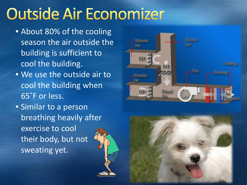# **Outside Air Economizer**

- About 80% of the cooling season the air outside the building is sufficient to cool the building.
- We use the outside air to cool the building when 65˚F or less.
- Similar to a person breathing heavily after exercise to cool their body, but not sweating yet.

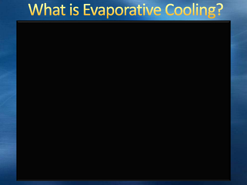### What is Evaporative Cooling?

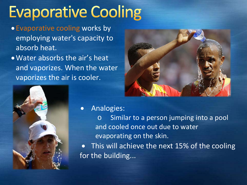## **Evaporative Cooling**

- Evaporative cooling works by employing water's capacity to absorb heat.
- •Water absorbs the air's heat and vaporizes. When the water vaporizes the air is cooler.





- Analogies:
	- o Similar to a person jumping into a pool and cooled once out due to water evaporating on the skin.

• This will achieve the next 15% of the cooling for the building...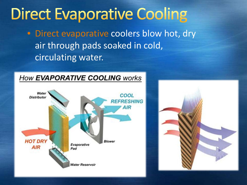### **Direct Evaporative Cooling**

• Direct evaporative coolers blow hot, dry air through pads soaked in cold, circulating water.

#### **How EVAPORATIVE COOLING works**



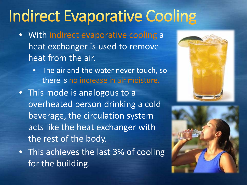## **Indirect Evaporative Cooling**

- With indirect evaporative cooling a heat exchanger is used to remove heat from the air.
	- The air and the water never touch, so there is no increase in air moisture.
- This mode is analogous to a overheated person drinking a cold beverage, the circulation system acts like the heat exchanger with the rest of the body.
- This achieves the last 3% of cooling for the building.



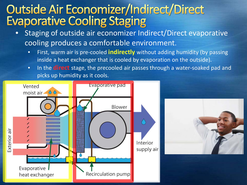### **Outside Air Economizer/Indirect/Direct Evaporative Cooling Staging**

- Staging of outside air economizer Indirect/Direct evaporative cooling produces a comfortable environment.
	- First, warm air is pre-cooled **indirectly** without adding humidity (by passing inside a heat exchanger that is cooled by evaporation on the outside).
	- In the **direct** stage, the precooled air passes through a water-soaked pad and picks up humidity as it cools.

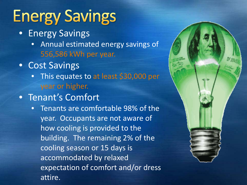# **Energy Savings**

- **Energy Savings** 
	- Annual estimated energy savings of 556,586 kWh per year.
- Cost Savings
	- This equates to at least \$30,000 per year or higher.
- Tenant's Comfort
	- Tenants are comfortable 98% of the year. Occupants are not aware of how cooling is provided to the building. The remaining 2% of the cooling season or 15 days is accommodated by relaxed expectation of comfort and/or dress attire.